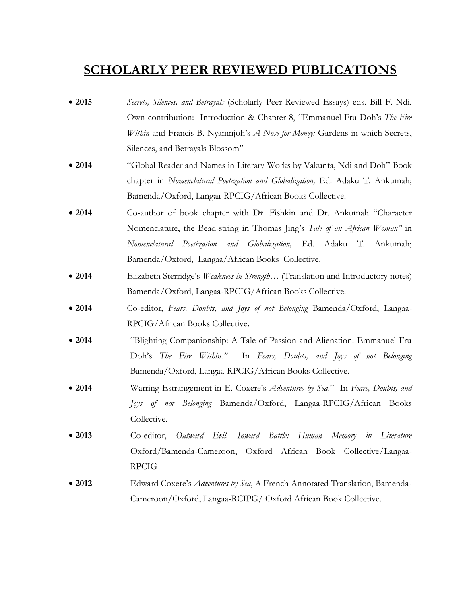#### **SCHOLARLY PEER REVIEWED PUBLICATIONS**

- **2015** *Secrets, Silences, and Betrayals* (Scholarly Peer Reviewed Essays) eds. Bill F. Ndi. Own contribution: Introduction & Chapter 8, "Emmanuel Fru Doh's *The Fire Within* and Francis B. Nyamnjoh's *A Nose for Money:* Gardens in which Secrets, Silences, and Betrayals Blossom"
- **2014** "Global Reader and Names in Literary Works by Vakunta, Ndi and Doh" Book chapter in *Nomenclatural Poetization and Globalization,* Ed. Adaku T. Ankumah; Bamenda/Oxford, Langaa-RPCIG/African Books Collective.
- **2014** Co-author of book chapter with Dr. Fishkin and Dr. Ankumah "Character Nomenclature, the Bead-string in Thomas Jing's *Tale of an African Woman"* in *Nomenclatural Poetization and Globalization,* Ed. Adaku T. Ankumah; Bamenda/Oxford, Langaa/African Books Collective.
- **2014** Elizabeth Sterridge's *Weakness in Strength…* (Translation and Introductory notes) Bamenda/Oxford, Langaa-RPCIG/African Books Collective.
- **2014** Co-editor, *Fears, Doubts, and Joys of not Belonging* Bamenda/Oxford, Langaa-RPCIG/African Books Collective.
- **2014** "Blighting Companionship: A Tale of Passion and Alienation. Emmanuel Fru Doh's *The Fire Within."* In *Fears, Doubts, and Joys of not Belonging* Bamenda/Oxford, Langaa-RPCIG/African Books Collective.
- **2014** Warring Estrangement in E. Coxere's *Adventures by Sea*." In *Fears, Doubts, and Joys of not Belonging* Bamenda/Oxford, Langaa-RPCIG/African Books Collective.
- **2013** Co-editor, *Outward Evil, Inward Battle: Human Memory in Literature* Oxford/Bamenda-Cameroon, Oxford African Book Collective/Langaa-RPCIG
- **2012** Edward Coxere's *Adventures by Sea*, A French Annotated Translation, Bamenda-Cameroon/Oxford, Langaa-RCIPG/ Oxford African Book Collective.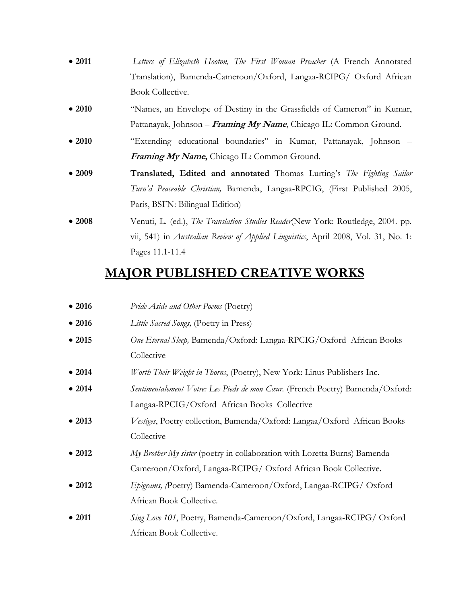- **2011** *Letters of Elizabeth Hooton, The First Woman Preacher* (A French Annotated Translation), Bamenda-Cameroon/Oxford, Langaa-RCIPG/ Oxford African Book Collective.
- **2010** "Names, an Envelope of Destiny in the Grassfields of Cameron" in Kumar, Pattanayak, Johnson – **Framing My Name**, Chicago IL: Common Ground.
- **2010** "Extending educational boundaries" in Kumar, Pattanayak, Johnson **Framing My Name,** Chicago IL: Common Ground.
- **2009 Translated, Edited and annotated** Thomas Lurting's *The Fighting Sailor Turn'd Peaceable Christian,* Bamenda, Langaa-RPCIG, (First Published 2005, Paris, BSFN: Bilingual Edition)
- **2008** Venuti, L. (ed.), *The Translation Studies Reader*(New York: Routledge, 2004. pp. vii, 541) in *Australian Review of Applied Linguistics*, April 2008, Vol. 31, No. 1: Pages 11.1-11.4

### **MAJOR PUBLISHED CREATIVE WORKS**

| •2016          | Pride Aside and Other Poems (Poetry)                                           |
|----------------|--------------------------------------------------------------------------------|
| $\bullet$ 2016 | Little Sacred Songs, (Poetry in Press)                                         |
| •2015          | One Eternal Sleep, Bamenda/Oxford: Langaa-RPCIG/Oxford African Books           |
|                | Collective                                                                     |
| • 2014         | Worth Their Weight in Thorns, (Poetry), New York: Linus Publishers Inc.        |
| • 2014         | Sentimentalement Votre: Les Pieds de mon Cœur. (French Poetry) Bamenda/Oxford: |
|                | Langaa-RPCIG/Oxford African Books Collective                                   |
| $\bullet$ 2013 | Vestiges, Poetry collection, Bamenda/Oxford: Langaa/Oxford African Books       |
|                | Collective                                                                     |
| $\bullet$ 2012 | My Brother My sister (poetry in collaboration with Loretta Burns) Bamenda-     |
|                | Cameroon/Oxford, Langaa-RCIPG/Oxford African Book Collective.                  |
| $\bullet$ 2012 | Epigrams, (Poetry) Bamenda-Cameroon/Oxford, Langaa-RCIPG/Oxford                |
|                | African Book Collective.                                                       |
| $\bullet$ 2011 | Sing Love 101, Poetry, Bamenda-Cameroon/Oxford, Langaa-RCIPG/Oxford            |
|                | African Book Collective.                                                       |
|                |                                                                                |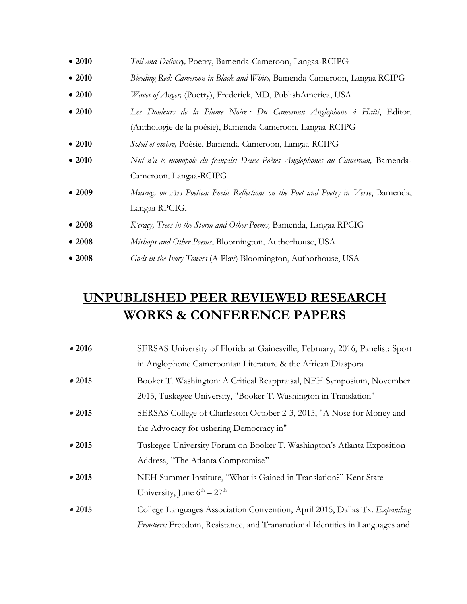| • 2010 | <i>Toil and Delivery</i> , Poetry, Bamenda-Cameroon, Langaa-RCIPG                    |
|--------|--------------------------------------------------------------------------------------|
| • 2010 | Bleeding Red: Cameroon in Black and White, Bamenda-Cameroon, Langaa RCIPG            |
| • 2010 | Waves of Anger, (Poetry), Frederick, MD, PublishAmerica, USA                         |
| • 2010 | Les Douleurs de la Plume Noire : Du Cameroun Anglophone à Haïti, Editor,             |
|        | (Anthologie de la poésie), Bamenda-Cameroon, Langaa-RCIPG                            |
| • 2010 | Soleil et ombre, Poésie, Bamenda-Cameroon, Langaa-RCIPG                              |
| • 2010 | Nul n'a le monopole du français: Deux Poètes Anglophones du Cameroun, Bamenda-       |
|        | Cameroon, Langaa-RCIPG                                                               |
| •2009  | Musings on Ars Poetica: Poetic Reflections on the Poet and Poetry in Verse, Bamenda, |
|        | Langaa RPCIG,                                                                        |
| •2008  | K'cracy, Trees in the Storm and Other Poems, Bamenda, Langaa RPCIG                   |
| •2008  | Mishaps and Other Poems, Bloomington, Authorhouse, USA                               |
| •2008  | Gods in the Ivory Towers (A Play) Bloomington, Authorhouse, USA                      |

# **UNPUBLISHED PEER REVIEWED RESEARCH WORKS & CONFERENCE PAPERS**

| •2016 | SERSAS University of Florida at Gainesville, February, 2016, Panelist: Sport  |
|-------|-------------------------------------------------------------------------------|
|       | in Anglophone Cameroonian Literature & the African Diaspora                   |
| •2015 | Booker T. Washington: A Critical Reappraisal, NEH Symposium, November         |
|       | 2015, Tuskegee University, "Booker T. Washington in Translation"              |
| •2015 | SERSAS College of Charleston October 2-3, 2015, "A Nose for Money and         |
|       | the Advocacy for ushering Democracy in"                                       |
| •2015 | Tuskegee University Forum on Booker T. Washington's Atlanta Exposition        |
|       | Address, "The Atlanta Compromise"                                             |
| •2015 | NEH Summer Institute, "What is Gained in Translation?" Kent State             |
|       | University, June $6^{th} - 27^{th}$                                           |
| •2015 | College Languages Association Convention, April 2015, Dallas Tx. Expanding    |
|       | Frontiers: Freedom, Resistance, and Transnational Identities in Languages and |
|       |                                                                               |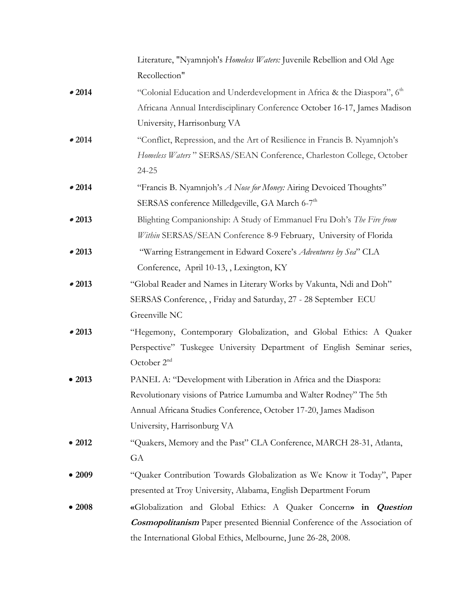|        | Literature, "Nyamnjoh's Homeless Waters: Juvenile Rebellion and Old Age          |
|--------|----------------------------------------------------------------------------------|
|        | Recollection"                                                                    |
| •2014  | "Colonial Education and Underdevelopment in Africa & the Diaspora", 6th          |
|        | Africana Annual Interdisciplinary Conference October 16-17, James Madison        |
|        | University, Harrisonburg VA                                                      |
| •2014  | "Conflict, Repression, and the Art of Resilience in Francis B. Nyamnjoh's        |
|        | Homeless Waters" SERSAS/SEAN Conference, Charleston College, October             |
|        | 24-25                                                                            |
| •2014  | "Francis B. Nyamnjoh's A Nose for Money: Airing Devoiced Thoughts"               |
|        | SERSAS conference Milledgeville, GA March 6-7 <sup>th</sup>                      |
| •2013  | Blighting Companionship: A Study of Emmanuel Fru Doh's The Fire from             |
|        | Within SERSAS/SEAN Conference 8-9 February, University of Florida                |
| •2013  | "Warring Estrangement in Edward Coxere's Adventures by Sea" CLA                  |
|        | Conference, April 10-13, Lexington, KY                                           |
| •2013  | "Global Reader and Names in Literary Works by Vakunta, Ndi and Doh"              |
|        | SERSAS Conference, , Friday and Saturday, 27 - 28 September ECU                  |
|        | Greenville NC                                                                    |
| •2013  | "Hegemony, Contemporary Globalization, and Global Ethics: A Quaker               |
|        | Perspective" Tuskegee University Department of English Seminar series,           |
|        | October 2 <sup>nd</sup>                                                          |
| • 2013 | PANEL A: "Development with Liberation in Africa and the Diaspora:                |
|        | Revolutionary visions of Patrice Lumumba and Walter Rodney" The 5th              |
|        | Annual Africana Studies Conference, October 17-20, James Madison                 |
|        | University, Harrisonburg VA                                                      |
| • 2012 | "Quakers, Memory and the Past" CLA Conference, MARCH 28-31, Atlanta,             |
|        | GA                                                                               |
| • 2009 | "Quaker Contribution Towards Globalization as We Know it Today", Paper           |
|        | presented at Troy University, Alabama, English Department Forum                  |
| •2008  | «Globalization and Global Ethics: A Quaker Concern» in Question                  |
|        | <b>Cosmopolitanism</b> Paper presented Biennial Conference of the Association of |
|        | the International Global Ethics, Melbourne, June 26-28, 2008.                    |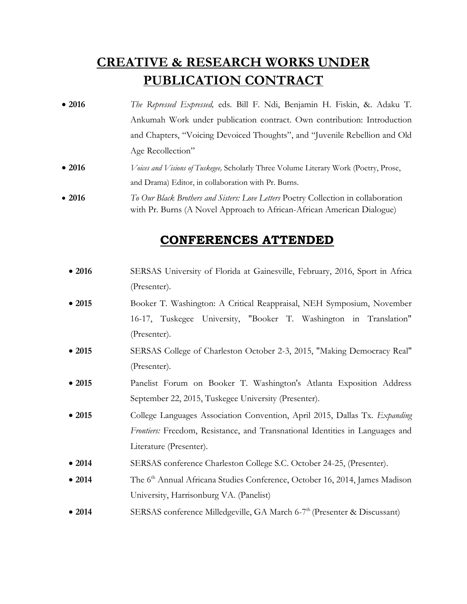## **CREATIVE & RESEARCH WORKS UNDER PUBLICATION CONTRACT**

- **2016** *The Repressed Expressed,* eds. Bill F. Ndi, Benjamin H. Fiskin, &. Adaku T. Ankumah Work under publication contract. Own contribution: Introduction and Chapters, "Voicing Devoiced Thoughts", and "Juvenile Rebellion and Old Age Recollection"
- **2016** *Voices and Visions of Tuskegee,* Scholarly Three Volume Literary Work (Poetry, Prose, and Drama) Editor, in collaboration with Pr. Burns.
- **2016** *To Our Black Brothers and Sisters: Love Letters* Poetry Collection in collaboration with Pr. Burns (A Novel Approach to African-African American Dialogue)

#### **CONFERENCES ATTENDED**

- 2016 SERSAS University of Florida at Gainesville, February, 2016, Sport in Africa (Presenter).
- **2015** Booker T. Washington: A Critical Reappraisal, NEH Symposium, November 16-17, Tuskegee University, "Booker T. Washington in Translation" (Presenter).
- **2015** SERSAS College of Charleston October 2-3, 2015, "Making Democracy Real" (Presenter).
- **2015** Panelist Forum on Booker T. Washington's Atlanta Exposition Address September 22, 2015, Tuskegee University (Presenter).
- **2015** College Languages Association Convention, April 2015, Dallas Tx. *Expanding Frontiers:* Freedom, Resistance, and Transnational Identities in Languages and Literature (Presenter).
- **2014** SERSAS conference Charleston College S.C. October 24-25, (Presenter).
- 2014 The 6<sup>th</sup> Annual Africana Studies Conference, October 16, 2014, James Madison University, Harrisonburg VA. (Panelist)
- 2014 SERSAS conference Milledgeville, GA March 6-7<sup>th</sup> (Presenter & Discussant)